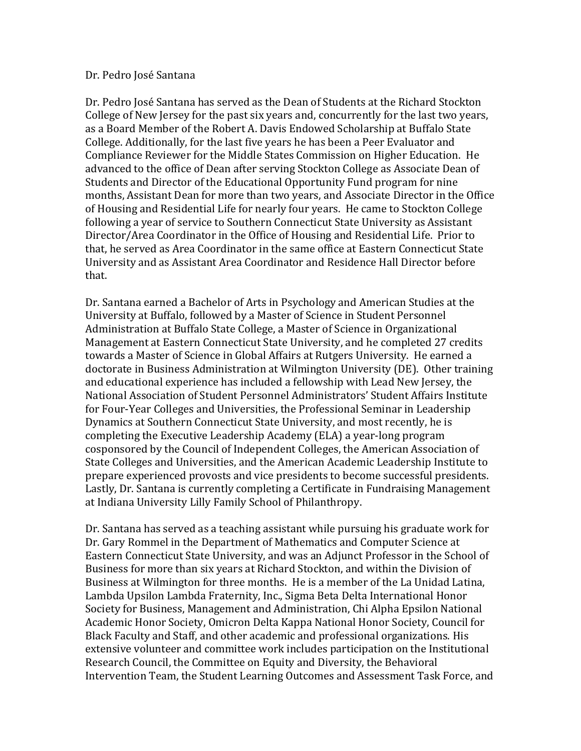## Dr. Pedro José Santana

Dr. Pedro José Santana has served as the Dean of Students at the Richard Stockton College of New Jersey for the past six years and, concurrently for the last two years, as a Board Member of the Robert A. Davis Endowed Scholarship at Buffalo State College. Additionally, for the last five years he has been a Peer Evaluator and Compliance Reviewer for the Middle States Commission on Higher Education. He advanced to the office of Dean after serving Stockton College as Associate Dean of Students and Director of the Educational Opportunity Fund program for nine months, Assistant Dean for more than two years, and Associate Director in the Office of Housing and Residential Life for nearly four years. He came to Stockton College following a year of service to Southern Connecticut State University as Assistant Director/Area Coordinator in the Office of Housing and Residential Life. Prior to that, he served as Area Coordinator in the same office at Eastern Connecticut State University and as Assistant Area Coordinator and Residence Hall Director before that.

Dr. Santana earned a Bachelor of Arts in Psychology and American Studies at the University at Buffalo, followed by a Master of Science in Student Personnel Administration at Buffalo State College, a Master of Science in Organizational Management at Eastern Connecticut State University, and he completed 27 credits towards a Master of Science in Global Affairs at Rutgers University. He earned a doctorate in Business Administration at Wilmington University (DE). Other training and educational experience has included a fellowship with Lead New Jersey, the National Association of Student Personnel Administrators' Student Affairs Institute for Four-Year Colleges and Universities, the Professional Seminar in Leadership Dynamics at Southern Connecticut State University, and most recently, he is completing the Executive Leadership Academy (ELA) a year-long program cosponsored by the Council of Independent Colleges, the American Association of State Colleges and Universities, and the American Academic Leadership Institute to prepare experienced provosts and vice presidents to become successful presidents. Lastly, Dr. Santana is currently completing a Certificate in Fundraising Management at Indiana University Lilly Family School of Philanthropy.

Dr. Santana has served as a teaching assistant while pursuing his graduate work for Dr. Gary Rommel in the Department of Mathematics and Computer Science at Eastern Connecticut State University, and was an Adjunct Professor in the School of Business for more than six years at Richard Stockton, and within the Division of Business at Wilmington for three months. He is a member of the La Unidad Latina, Lambda Upsilon Lambda Fraternity, Inc., Sigma Beta Delta International Honor Society for Business, Management and Administration, Chi Alpha Epsilon National Academic Honor Society, Omicron Delta Kappa National Honor Society, Council for Black Faculty and Staff, and other academic and professional organizations. His extensive volunteer and committee work includes participation on the Institutional Research Council, the Committee on Equity and Diversity, the Behavioral Intervention Team, the Student Learning Outcomes and Assessment Task Force, and